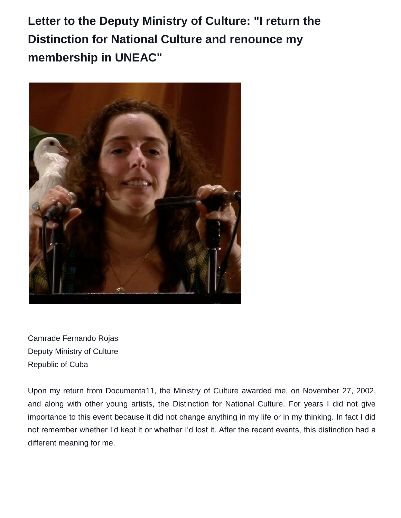**Letter to the Deputy Ministry of Culture: "I return the Distinction for National Culture and renounce my membership in UNEAC"**



Camrade Fernando Rojas Deputy Ministry of Culture Republic of Cuba

Upon my return from Documenta11, the Ministry of Culture awarded me, on November 27, 2002, and along with other young artists, the Distinction for National Culture. For years I did not give importance to this event because it did not change anything in my life or in my thinking. In fact I did not remember whether I'd kept it or whether I'd lost it. After the recent events, this distinction had a different meaning for me.